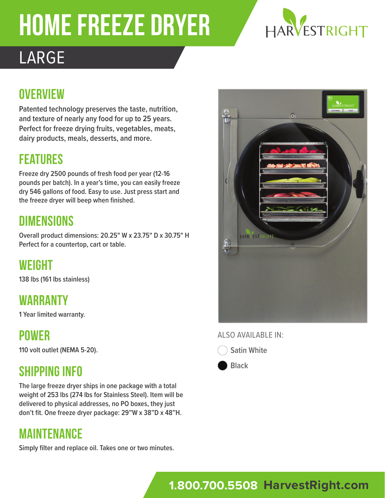# HOME FREEZE DRYER



# LARGE

# **OVERVIEW**

**Patented technology preserves the taste, nutrition, and texture of nearly any food for up to 25 years. Perfect for freeze drying fruits, vegetables, meats, dairy products, meals, desserts, and more.**

#### FEATURES

**Freeze dry 2500 pounds of fresh food per year (12-16 pounds per batch). In a year's time, you can easily freeze dry 546 gallons of food. Easy to use. Just press start and the freeze dryer will beep when finished.**

#### **DIMENSIONS**

**Overall product dimensions: 20.25" W x 23.75" D x 30.75" H Perfect for a countertop, cart or table.**

#### WEIGHT

**138 lbs (161 lbs stainless)**

#### WARRANTY

**1 Year limited warranty.**

#### POWER

**110 volt outlet (NEMA 5-20).**

## SHIPPING INFO

**The large freeze dryer ships in one package with a total weight of 253 lbs (274 lbs for Stainless Steel). Item will be delivered to physical addresses, no PO boxes, they just don't fit. One freeze dryer package: 29"W x 38"D x 48"H.**

#### MAINTENANCE

**Simply filter and replace oil. Takes one or two minutes.**



ALSO AVAILABLE IN:



#### **1.800.700.5508 HarvestRight.com**